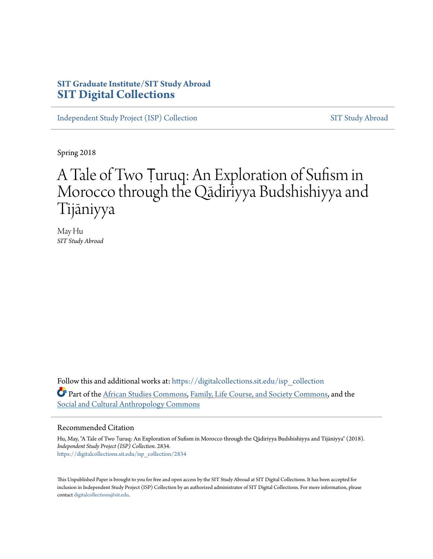## **SIT Graduate Institute/SIT Study Abroad [SIT Digital Collections](https://digitalcollections.sit.edu?utm_source=digitalcollections.sit.edu%2Fisp_collection%2F2834&utm_medium=PDF&utm_campaign=PDFCoverPages)**

[Independent Study Project \(ISP\) Collection](https://digitalcollections.sit.edu/isp_collection?utm_source=digitalcollections.sit.edu%2Fisp_collection%2F2834&utm_medium=PDF&utm_campaign=PDFCoverPages) [SIT Study Abroad](https://digitalcollections.sit.edu/study_abroad?utm_source=digitalcollections.sit.edu%2Fisp_collection%2F2834&utm_medium=PDF&utm_campaign=PDFCoverPages)

Spring 2018

# A Tale of Two Ṭuruq: An Exploration of Sufism in Morocco through the Qādiriyya Budshishiyya and Tijāniyya

May Hu *SIT Study Abroad*

Follow this and additional works at: [https://digitalcollections.sit.edu/isp\\_collection](https://digitalcollections.sit.edu/isp_collection?utm_source=digitalcollections.sit.edu%2Fisp_collection%2F2834&utm_medium=PDF&utm_campaign=PDFCoverPages) Part of the [African Studies Commons](http://network.bepress.com/hgg/discipline/1043?utm_source=digitalcollections.sit.edu%2Fisp_collection%2F2834&utm_medium=PDF&utm_campaign=PDFCoverPages), [Family, Life Course, and Society Commons](http://network.bepress.com/hgg/discipline/419?utm_source=digitalcollections.sit.edu%2Fisp_collection%2F2834&utm_medium=PDF&utm_campaign=PDFCoverPages), and the [Social and Cultural Anthropology Commons](http://network.bepress.com/hgg/discipline/323?utm_source=digitalcollections.sit.edu%2Fisp_collection%2F2834&utm_medium=PDF&utm_campaign=PDFCoverPages)

#### Recommended Citation

Hu, May, "A Tale of Two Ṭuruq: An Exploration of Sufism in Morocco through the Qādiriyya Budshishiyya and Tijāniyya" (2018). *Independent Study Project (ISP) Collection*. 2834. [https://digitalcollections.sit.edu/isp\\_collection/2834](https://digitalcollections.sit.edu/isp_collection/2834?utm_source=digitalcollections.sit.edu%2Fisp_collection%2F2834&utm_medium=PDF&utm_campaign=PDFCoverPages)

This Unpublished Paper is brought to you for free and open access by the SIT Study Abroad at SIT Digital Collections. It has been accepted for inclusion in Independent Study Project (ISP) Collection by an authorized administrator of SIT Digital Collections. For more information, please contact [digitalcollections@sit.edu](mailto:digitalcollections@sit.edu).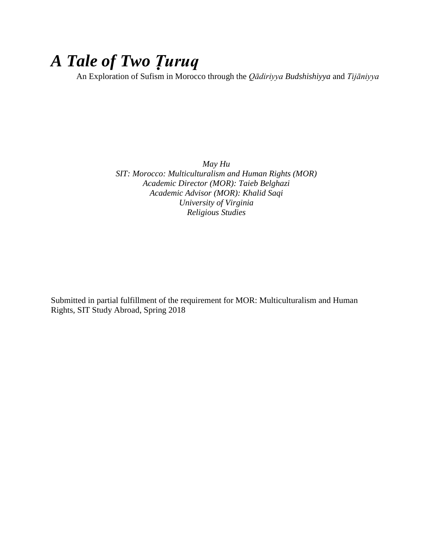# *A Tale of Two Ṭuruq*

An Exploration of Sufism in Morocco through the *Qādiriyya Budshishiyya* and *Tijāniyya*

*May Hu SIT: Morocco: Multiculturalism and Human Rights (MOR) Academic Director (MOR): Taieb Belghazi Academic Advisor (MOR): Khalid Saqi University of Virginia Religious Studies*

Submitted in partial fulfillment of the requirement for MOR: Multiculturalism and Human Rights, SIT Study Abroad, Spring 2018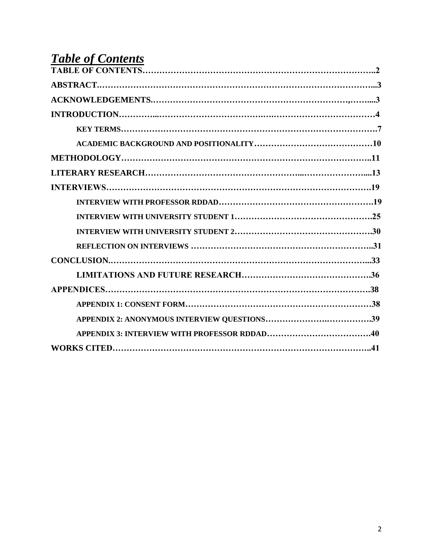# *Table of Contents*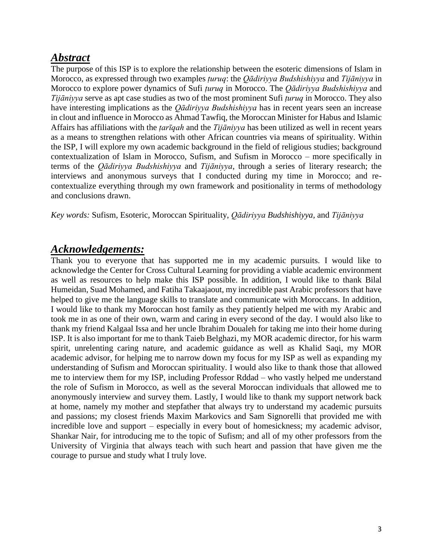# *Abstract*

The purpose of this ISP is to explore the relationship between the esoteric dimensions of Islam in Morocco, as expressed through two examples *ṭuruq*: the *Qādiriyya Budshishiyya* and *Tijāniyya* in Morocco to explore power dynamics of Sufi *ṭuruq* in Morocco. The *Qādiriyya Budshishiyya* and *Tijāniyya* serve as apt case studies as two of the most prominent Sufi *ṭuruq* in Morocco. They also have interesting implications as the *Qādiriyya Budshishiyya* has in recent years seen an increase in clout and influence in Morocco as Ahmad Tawfiq, the Moroccan Minister for Habus and Islamic Affairs has affiliations with the *ṭarīqah* and the *Tijāniyya* has been utilized as well in recent years as a means to strengthen relations with other African countries via means of spirituality. Within the ISP, I will explore my own academic background in the field of religious studies; background contextualization of Islam in Morocco, Sufism, and Sufism in Morocco – more specifically in terms of the *Qādiriyya Budshishiyya* and *Tijāniyya*, through a series of literary research; the interviews and anonymous surveys that I conducted during my time in Morocco; and recontextualize everything through my own framework and positionality in terms of methodology and conclusions drawn.

*Key words:* Sufism, Esoteric, Moroccan Spirituality, *Qādiriyya Budshishiyya,* and *Tijāniyya*

## *Acknowledgements:*

Thank you to everyone that has supported me in my academic pursuits. I would like to acknowledge the Center for Cross Cultural Learning for providing a viable academic environment as well as resources to help make this ISP possible. In addition, I would like to thank Bilal Humeidan, Suad Mohamed, and Fatiha Takaajaout, my incredible past Arabic professors that have helped to give me the language skills to translate and communicate with Moroccans. In addition, I would like to thank my Moroccan host family as they patiently helped me with my Arabic and took me in as one of their own, warm and caring in every second of the day. I would also like to thank my friend Kalgaal Issa and her uncle Ibrahim Doualeh for taking me into their home during ISP. It is also important for me to thank Taieb Belghazi, my MOR academic director, for his warm spirit, unrelenting caring nature, and academic guidance as well as Khalid Saqi, my MOR academic advisor, for helping me to narrow down my focus for my ISP as well as expanding my understanding of Sufism and Moroccan spirituality. I would also like to thank those that allowed me to interview them for my ISP, including Professor Rddad – who vastly helped me understand the role of Sufism in Morocco, as well as the several Moroccan individuals that allowed me to anonymously interview and survey them. Lastly, I would like to thank my support network back at home, namely my mother and stepfather that always try to understand my academic pursuits and passions; my closest friends Maxim Markovics and Sam Signorelli that provided me with incredible love and support – especially in every bout of homesickness; my academic advisor, Shankar Nair, for introducing me to the topic of Sufism; and all of my other professors from the University of Virginia that always teach with such heart and passion that have given me the courage to pursue and study what I truly love.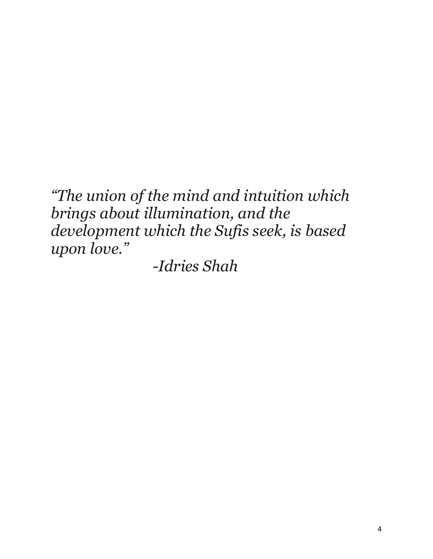*"The union of the mind and intuition which brings about illumination, and the development which the Sufis seek, is based upon love."*

*-Idries Shah*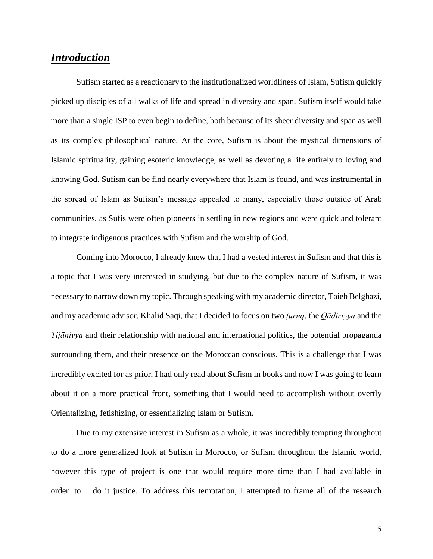## *Introduction*

Sufism started as a reactionary to the institutionalized worldliness of Islam, Sufism quickly picked up disciples of all walks of life and spread in diversity and span. Sufism itself would take more than a single ISP to even begin to define, both because of its sheer diversity and span as well as its complex philosophical nature. At the core, Sufism is about the mystical dimensions of Islamic spirituality, gaining esoteric knowledge, as well as devoting a life entirely to loving and knowing God. Sufism can be find nearly everywhere that Islam is found, and was instrumental in the spread of Islam as Sufism's message appealed to many, especially those outside of Arab communities, as Sufis were often pioneers in settling in new regions and were quick and tolerant to integrate indigenous practices with Sufism and the worship of God.

Coming into Morocco, I already knew that I had a vested interest in Sufism and that this is a topic that I was very interested in studying, but due to the complex nature of Sufism, it was necessary to narrow down my topic. Through speaking with my academic director, Taieb Belghazi, and my academic advisor, Khalid Saqi, that I decided to focus on two *ṭuruq*, the *Qādiriyya* and the *Tijāniyya* and their relationship with national and international politics, the potential propaganda surrounding them, and their presence on the Moroccan conscious. This is a challenge that I was incredibly excited for as prior, I had only read about Sufism in books and now I was going to learn about it on a more practical front, something that I would need to accomplish without overtly Orientalizing, fetishizing, or essentializing Islam or Sufism.

Due to my extensive interest in Sufism as a whole, it was incredibly tempting throughout to do a more generalized look at Sufism in Morocco, or Sufism throughout the Islamic world, however this type of project is one that would require more time than I had available in order to do it justice. To address this temptation, I attempted to frame all of the research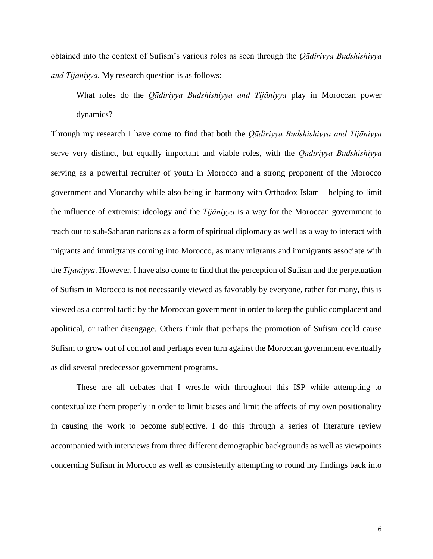obtained into the context of Sufism's various roles as seen through the *Qādiriyya Budshishiyya and Tijāniyya.* My research question is as follows:

What roles do the *Qādiriyya Budshishiyya and Tijāniyya* play in Moroccan power dynamics?

Through my research I have come to find that both the *Qādiriyya Budshishiyya and Tijāniyya* serve very distinct, but equally important and viable roles, with the *Qādiriyya Budshishiyya* serving as a powerful recruiter of youth in Morocco and a strong proponent of the Morocco government and Monarchy while also being in harmony with Orthodox Islam – helping to limit the influence of extremist ideology and the *Tijāniyya* is a way for the Moroccan government to reach out to sub-Saharan nations as a form of spiritual diplomacy as well as a way to interact with migrants and immigrants coming into Morocco, as many migrants and immigrants associate with the *Tijāniyya*. However, I have also come to find that the perception of Sufism and the perpetuation of Sufism in Morocco is not necessarily viewed as favorably by everyone, rather for many, this is viewed as a control tactic by the Moroccan government in order to keep the public complacent and apolitical, or rather disengage. Others think that perhaps the promotion of Sufism could cause Sufism to grow out of control and perhaps even turn against the Moroccan government eventually as did several predecessor government programs.

These are all debates that I wrestle with throughout this ISP while attempting to contextualize them properly in order to limit biases and limit the affects of my own positionality in causing the work to become subjective. I do this through a series of literature review accompanied with interviews from three different demographic backgrounds as well as viewpoints concerning Sufism in Morocco as well as consistently attempting to round my findings back into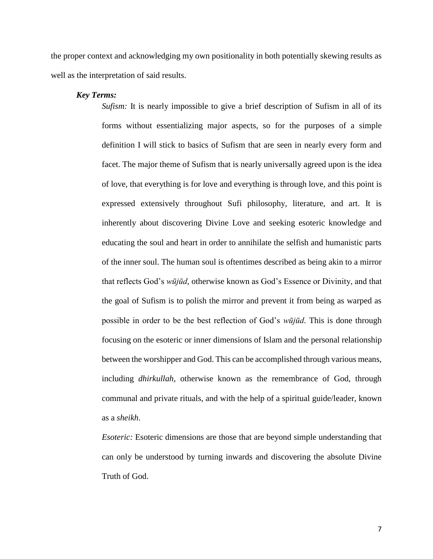the proper context and acknowledging my own positionality in both potentially skewing results as well as the interpretation of said results.

#### *Key Terms:*

*Sufism:* It is nearly impossible to give a brief description of Sufism in all of its forms without essentializing major aspects, so for the purposes of a simple definition I will stick to basics of Sufism that are seen in nearly every form and facet. The major theme of Sufism that is nearly universally agreed upon is the idea of love, that everything is for love and everything is through love, and this point is expressed extensively throughout Sufi philosophy, literature, and art. It is inherently about discovering Divine Love and seeking esoteric knowledge and educating the soul and heart in order to annihilate the selfish and humanistic parts of the inner soul. The human soul is oftentimes described as being akin to a mirror that reflects God's *wūjūd*, otherwise known as God's Essence or Divinity, and that the goal of Sufism is to polish the mirror and prevent it from being as warped as possible in order to be the best reflection of God's *wūjūd*. This is done through focusing on the esoteric or inner dimensions of Islam and the personal relationship between the worshipper and God. This can be accomplished through various means, including *dhirkullah*, otherwise known as the remembrance of God, through communal and private rituals, and with the help of a spiritual guide/leader, known as a *sheikh*.

*Esoteric:* Esoteric dimensions are those that are beyond simple understanding that can only be understood by turning inwards and discovering the absolute Divine Truth of God.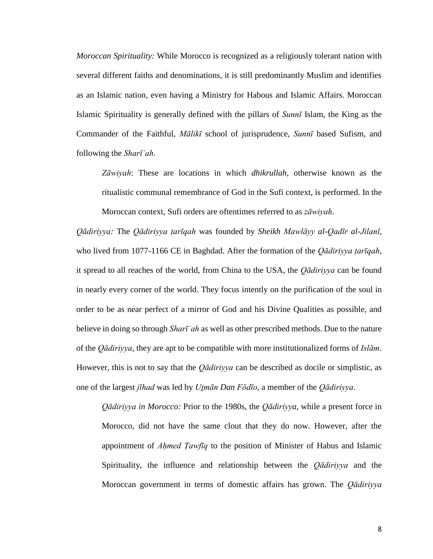*Moroccan Spirituality:* While Morocco is recognized as a religiously tolerant nation with several different faiths and denominations, it is still predominantly Muslim and identifies as an Islamic nation, even having a Ministry for Habous and Islamic Affairs. Moroccan Islamic Spirituality is generally defined with the pillars of *Sunnī* Islam, the King as the Commander of the Faithful, *Mālikī* school of jurisprudence, *Sunnī* based Sufism, and following the *Sharīʿah*.

*Zāwiyah*: These are locations in which *dhikrullah*, otherwise known as the ritualistic communal remembrance of God in the Sufi context, is performed. In the Moroccan context, Sufi orders are oftentimes referred to as *zāwiyah*.

*Qādiriyya:* The *Qādiriyya ṭarīqah* was founded by *Sheikh Mawlāyy al-Qadīr al-Jilanī,* who lived from 1077-1166 CE in Baghdad. After the formation of the *Qādiriyya ṭarīqah*, it spread to all reaches of the world, from China to the USA, the *Qādiriyya* can be found in nearly every corner of the world. They focus intently on the purification of the soul in order to be as near perfect of a mirror of God and his Divine Qualities as possible, and believe in doing so through *Sharīʿah* as well as other prescribed methods. Due to the nature of the *Qādiriyya*, they are apt to be compatible with more institutionalized forms of *Islām*. However, this is not to say that the *Qādiriyya* can be described as docile or simplistic, as one of the largest *jīhad* was led by *Uṯmān Dan Fōdīo*, a member of the *Qādiriyya*.

*Qādiriyya in Morocco:* Prior to the 1980s, the *Qādiriyya*, while a present force in Morocco, did not have the same clout that they do now. However, after the appointment of *Aḥmed Ṭawfīq* to the position of Minister of Habus and Islamic Spirituality, the influence and relationship between the *Qādiriyya* and the Moroccan government in terms of domestic affairs has grown. The *Qādiriyya*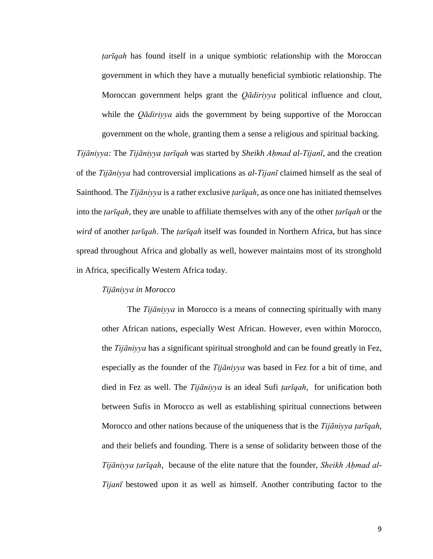*ṭarīqah* has found itself in a unique symbiotic relationship with the Moroccan government in which they have a mutually beneficial symbiotic relationship. The Moroccan government helps grant the *Qādiriyya* political influence and clout, while the *Qādiriyya* aids the government by being supportive of the Moroccan government on the whole, granting them a sense a religious and spiritual backing.

*Tijāniyya:* The *Tijāniyya ṭarīqah* was started by *Sheikh Aḥmad al-Tijanī*, and the creation of the *Tijāniyya* had controversial implications as *al-Tijanī* claimed himself as the seal of Sainthood. The *Tijāniyya* is a rather exclusive *ṭarīqah*, as once one has initiated themselves into the *ṭarīqah*, they are unable to affiliate themselves with any of the other *ṭarīqah* or the *wird* of another *ṭarīqah*. The *ṭarīqah* itself was founded in Northern Africa, but has since spread throughout Africa and globally as well, however maintains most of its stronghold in Africa, specifically Western Africa today.

#### *Tijāniyya in Morocco*

The *Tijāniyya* in Morocco is a means of connecting spiritually with many other African nations, especially West African. However, even within Morocco, the *Tijāniyya* has a significant spiritual stronghold and can be found greatly in Fez, especially as the founder of the *Tijāniyya* was based in Fez for a bit of time, and died in Fez as well. The *Tijāniyya* is an ideal Sufi *ṭarīqah*, for unification both between Sufis in Morocco as well as establishing spiritual connections between Morocco and other nations because of the uniqueness that is the *Tijāniyya ṭarīqah*, and their beliefs and founding. There is a sense of solidarity between those of the *Tijāniyya ṭarīqah*, because of the elite nature that the founder, *Sheikh Aḥmad al-Tijanī* bestowed upon it as well as himself. Another contributing factor to the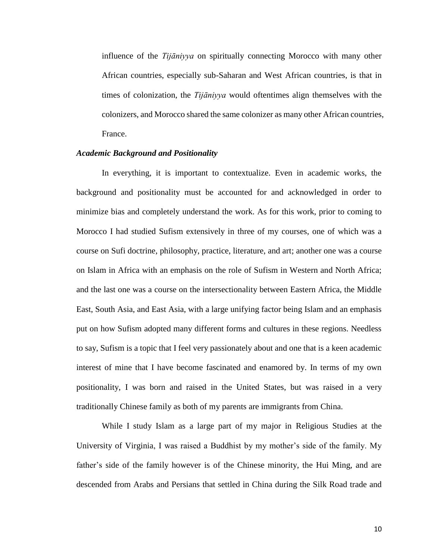influence of the *Tijāniyya* on spiritually connecting Morocco with many other African countries, especially sub-Saharan and West African countries, is that in times of colonization, the *Tijāniyya* would oftentimes align themselves with the colonizers, and Morocco shared the same colonizer as many other African countries, France.

#### *Academic Background and Positionality*

In everything, it is important to contextualize. Even in academic works, the background and positionality must be accounted for and acknowledged in order to minimize bias and completely understand the work. As for this work, prior to coming to Morocco I had studied Sufism extensively in three of my courses, one of which was a course on Sufi doctrine, philosophy, practice, literature, and art; another one was a course on Islam in Africa with an emphasis on the role of Sufism in Western and North Africa; and the last one was a course on the intersectionality between Eastern Africa, the Middle East, South Asia, and East Asia, with a large unifying factor being Islam and an emphasis put on how Sufism adopted many different forms and cultures in these regions. Needless to say, Sufism is a topic that I feel very passionately about and one that is a keen academic interest of mine that I have become fascinated and enamored by. In terms of my own positionality, I was born and raised in the United States, but was raised in a very traditionally Chinese family as both of my parents are immigrants from China.

While I study Islam as a large part of my major in Religious Studies at the University of Virginia, I was raised a Buddhist by my mother's side of the family. My father's side of the family however is of the Chinese minority, the Hui Ming, and are descended from Arabs and Persians that settled in China during the Silk Road trade and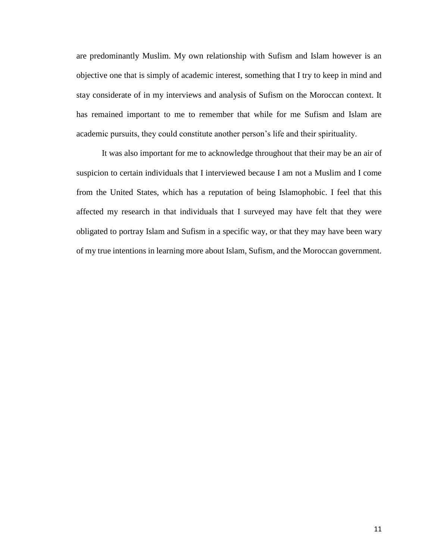are predominantly Muslim. My own relationship with Sufism and Islam however is an objective one that is simply of academic interest, something that I try to keep in mind and stay considerate of in my interviews and analysis of Sufism on the Moroccan context. It has remained important to me to remember that while for me Sufism and Islam are academic pursuits, they could constitute another person's life and their spirituality.

It was also important for me to acknowledge throughout that their may be an air of suspicion to certain individuals that I interviewed because I am not a Muslim and I come from the United States, which has a reputation of being Islamophobic. I feel that this affected my research in that individuals that I surveyed may have felt that they were obligated to portray Islam and Sufism in a specific way, or that they may have been wary of my true intentions in learning more about Islam, Sufism, and the Moroccan government.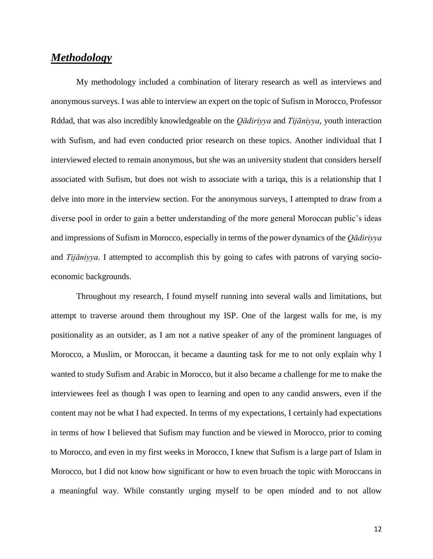## *Methodology*

My methodology included a combination of literary research as well as interviews and anonymous surveys. I was able to interview an expert on the topic of Sufism in Morocco, Professor Rddad, that was also incredibly knowledgeable on the *Qādiriyya* and *Tijāniyya*, youth interaction with Sufism, and had even conducted prior research on these topics. Another individual that I interviewed elected to remain anonymous, but she was an university student that considers herself associated with Sufism, but does not wish to associate with a tariqa, this is a relationship that I delve into more in the interview section. For the anonymous surveys, I attempted to draw from a diverse pool in order to gain a better understanding of the more general Moroccan public's ideas and impressions of Sufism in Morocco, especially in terms of the power dynamics of the *Qādiriyya* and *Tijāniyya*. I attempted to accomplish this by going to cafes with patrons of varying socioeconomic backgrounds.

Throughout my research, I found myself running into several walls and limitations, but attempt to traverse around them throughout my ISP. One of the largest walls for me, is my positionality as an outsider, as I am not a native speaker of any of the prominent languages of Morocco, a Muslim, or Moroccan, it became a daunting task for me to not only explain why I wanted to study Sufism and Arabic in Morocco, but it also became a challenge for me to make the interviewees feel as though I was open to learning and open to any candid answers, even if the content may not be what I had expected. In terms of my expectations, I certainly had expectations in terms of how I believed that Sufism may function and be viewed in Morocco, prior to coming to Morocco, and even in my first weeks in Morocco, I knew that Sufism is a large part of Islam in Morocco, but I did not know how significant or how to even broach the topic with Moroccans in a meaningful way. While constantly urging myself to be open minded and to not allow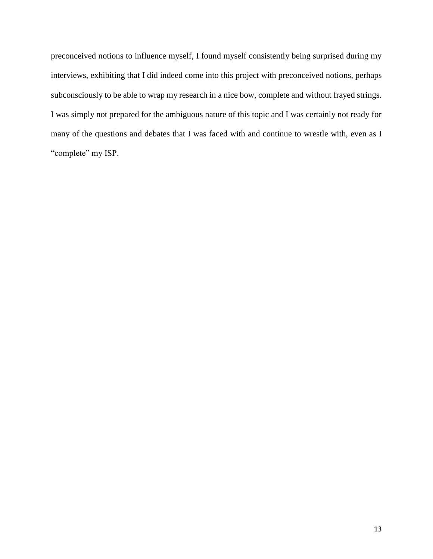preconceived notions to influence myself, I found myself consistently being surprised during my interviews, exhibiting that I did indeed come into this project with preconceived notions, perhaps subconsciously to be able to wrap my research in a nice bow, complete and without frayed strings. I was simply not prepared for the ambiguous nature of this topic and I was certainly not ready for many of the questions and debates that I was faced with and continue to wrestle with, even as I "complete" my ISP.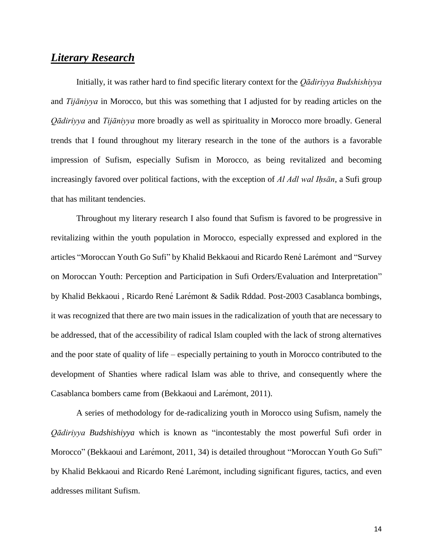## *Literary Research*

Initially, it was rather hard to find specific literary context for the *Qādiriyya Budshishiyya* and *Tijāniyya* in Morocco, but this was something that I adjusted for by reading articles on the *Qādiriyya* and *Tijāniyya* more broadly as well as spirituality in Morocco more broadly. General trends that I found throughout my literary research in the tone of the authors is a favorable impression of Sufism, especially Sufism in Morocco, as being revitalized and becoming increasingly favored over political factions, with the exception of *Al Adl wal Iḥsān*, a Sufi group that has militant tendencies.

Throughout my literary research I also found that Sufism is favored to be progressive in revitalizing within the youth population in Morocco, especially expressed and explored in the articles "Moroccan Youth Go Sufi" by Khalid Bekkaoui and Ricardo RenéLarémont and "Survey on Moroccan Youth: Perception and Participation in Sufi Orders/Evaluation and Interpretation" by Khalid Bekkaoui , Ricardo René Larémont & Sadik Rddad. Post-2003 Casablanca bombings, it was recognized that there are two main issues in the radicalization of youth that are necessary to be addressed, that of the accessibility of radical Islam coupled with the lack of strong alternatives and the poor state of quality of life – especially pertaining to youth in Morocco contributed to the development of Shanties where radical Islam was able to thrive, and consequently where the Casablanca bombers came from (Bekkaoui and Larémont, 2011).

A series of methodology for de-radicalizing youth in Morocco using Sufism, namely the *Qādiriyya Budshishiyya* which is known as "incontestably the most powerful Sufi order in Morocco" (Bekkaoui and Larémont, 2011, 34) is detailed throughout "Moroccan Youth Go Sufi" by Khalid Bekkaoui and Ricardo René Larémont, including significant figures, tactics, and even addresses militant Sufism.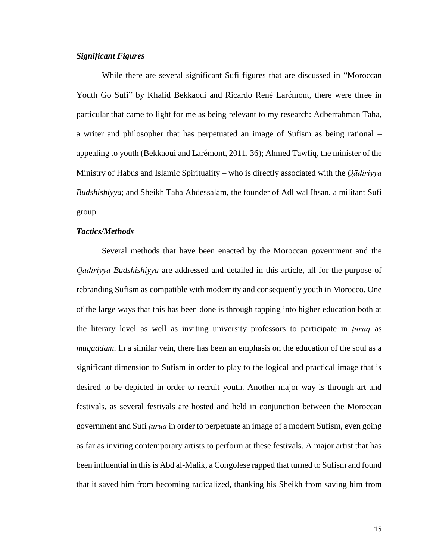#### *Significant Figures*

While there are several significant Sufi figures that are discussed in "Moroccan Youth Go Sufi" by Khalid Bekkaoui and Ricardo René Larémont, there were three in particular that came to light for me as being relevant to my research: Adberrahman Taha, a writer and philosopher that has perpetuated an image of Sufism as being rational – appealing to youth (Bekkaoui and Larémont, 2011, 36); Ahmed Tawfiq, the minister of the Ministry of Habus and Islamic Spirituality – who is directly associated with the *Qādiriyya Budshishiyya*; and Sheikh Taha Abdessalam, the founder of Adl wal Ihsan, a militant Sufi group.

#### *Tactics/Methods*

Several methods that have been enacted by the Moroccan government and the *Qādiriyya Budshishiyya* are addressed and detailed in this article, all for the purpose of rebranding Sufism as compatible with modernity and consequently youth in Morocco. One of the large ways that this has been done is through tapping into higher education both at the literary level as well as inviting university professors to participate in *ṭuruq* as *muqaddam*. In a similar vein, there has been an emphasis on the education of the soul as a significant dimension to Sufism in order to play to the logical and practical image that is desired to be depicted in order to recruit youth. Another major way is through art and festivals, as several festivals are hosted and held in conjunction between the Moroccan government and Sufi *ṭuruq* in order to perpetuate an image of a modern Sufism, even going as far as inviting contemporary artists to perform at these festivals. A major artist that has been influential in this is Abd al-Malik, a Congolese rapped that turned to Sufism and found that it saved him from becoming radicalized, thanking his Sheikh from saving him from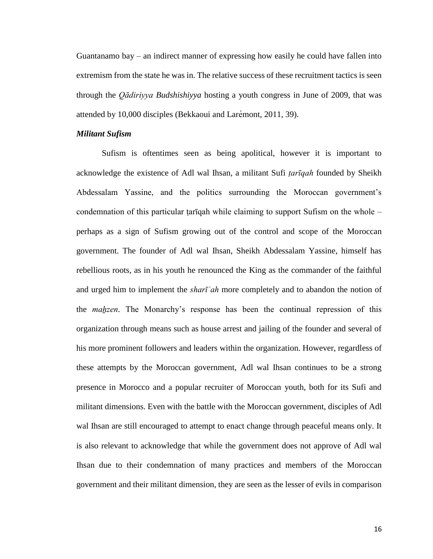Guantanamo bay – an indirect manner of expressing how easily he could have fallen into extremism from the state he was in. The relative success of these recruitment tactics is seen through the *Qādiriyya Budshishiyya* hosting a youth congress in June of 2009, that was attended by 10,000 disciples (Bekkaoui and Larémont, 2011, 39).

#### *Militant Sufism*

Sufism is oftentimes seen as being apolitical, however it is important to acknowledge the existence of Adl wal Ihsan, a militant Sufi *ṭarīqah* founded by Sheikh Abdessalam Yassine, and the politics surrounding the Moroccan government's condemnation of this particular tariqah while claiming to support Sufism on the whole  $$ perhaps as a sign of Sufism growing out of the control and scope of the Moroccan government. The founder of Adl wal Ihsan, Sheikh Abdessalam Yassine, himself has rebellious roots, as in his youth he renounced the King as the commander of the faithful and urged him to implement the *sharīʿah* more completely and to abandon the notion of the *maẖzen*. The Monarchy's response has been the continual repression of this organization through means such as house arrest and jailing of the founder and several of his more prominent followers and leaders within the organization. However, regardless of these attempts by the Moroccan government, Adl wal Ihsan continues to be a strong presence in Morocco and a popular recruiter of Moroccan youth, both for its Sufi and militant dimensions. Even with the battle with the Moroccan government, disciples of Adl wal Ihsan are still encouraged to attempt to enact change through peaceful means only. It is also relevant to acknowledge that while the government does not approve of Adl wal Ihsan due to their condemnation of many practices and members of the Moroccan government and their militant dimension, they are seen as the lesser of evils in comparison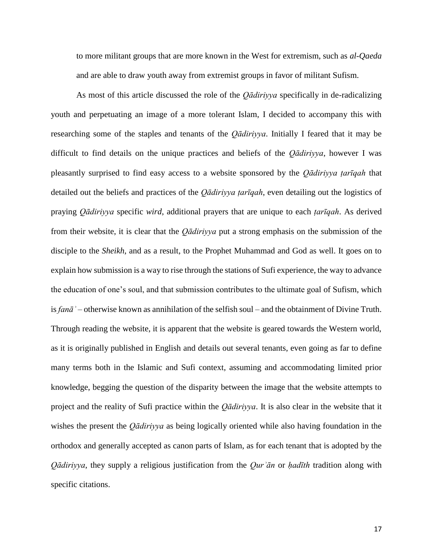to more militant groups that are more known in the West for extremism, such as *al-Qaeda* and are able to draw youth away from extremist groups in favor of militant Sufism.

As most of this article discussed the role of the *Qādiriyya* specifically in de-radicalizing youth and perpetuating an image of a more tolerant Islam, I decided to accompany this with researching some of the staples and tenants of the *Qādiriyya*. Initially I feared that it may be difficult to find details on the unique practices and beliefs of the *Qādiriyya*, however I was pleasantly surprised to find easy access to a website sponsored by the *Qādiriyya ṭarīqah* that detailed out the beliefs and practices of the *Qādiriyya ṭarīqah*, even detailing out the logistics of praying *Qādiriyya* specific *wird*, additional prayers that are unique to each *ṭarīqah*. As derived from their website, it is clear that the *Qādiriyya* put a strong emphasis on the submission of the disciple to the *Sheikh*, and as a result, to the Prophet Muhammad and God as well. It goes on to explain how submission is a way to rise through the stations of Sufi experience, the way to advance the education of one's soul, and that submission contributes to the ultimate goal of Sufism, which is *fanāʾ* – otherwise known as annihilation of the selfish soul – and the obtainment of Divine Truth. Through reading the website, it is apparent that the website is geared towards the Western world, as it is originally published in English and details out several tenants, even going as far to define many terms both in the Islamic and Sufi context, assuming and accommodating limited prior knowledge, begging the question of the disparity between the image that the website attempts to project and the reality of Sufi practice within the *Qādiriyya*. It is also clear in the website that it wishes the present the *Qādiriyya* as being logically oriented while also having foundation in the orthodox and generally accepted as canon parts of Islam, as for each tenant that is adopted by the *Qādiriyya*, they supply a religious justification from the *Qurʾān* or *ḥadīth* tradition along with specific citations.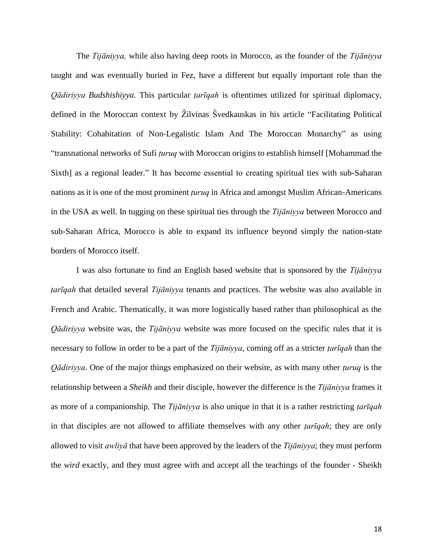The *Tijāniyya,* while also having deep roots in Morocco, as the founder of the *Tijāniyya*  taught and was eventually buried in Fez, have a different but equally important role than the *Qādiriyya Budshishiyya*. This particular *ṭarīqah* is oftentimes utilized for spiritual diplomacy, defined in the Moroccan context by Ž ilvinas Švedkauskas in his article "Facilitating Political Stability: Cohabitation of Non-Legalistic Islam And The Moroccan Monarchy" as using "transnational networks of Sufi *ṭuruq* with Moroccan origins to establish himself [Mohammad the Sixth] as a regional leader." It has become essential to creating spiritual ties with sub-Saharan nations as it is one of the most prominent *ṭuruq* in Africa and amongst Muslim African-Americans in the USA as well. In tugging on these spiritual ties through the *Tijāniyya* between Morocco and sub-Saharan Africa, Morocco is able to expand its influence beyond simply the nation-state borders of Morocco itself.

I was also fortunate to find an English based website that is sponsored by the *Tijāniyya ṭarīqah* that detailed several *Tijāniyya* tenants and practices. The website was also available in French and Arabic. Thematically, it was more logistically based rather than philosophical as the *Qādiriyya* website was, the *Tijāniyya* website was more focused on the specific rules that it is necessary to follow in order to be a part of the *Tijāniyya*, coming off as a stricter *ṭarīqah* than the *Qādiriyya*. One of the major things emphasized on their website, as with many other *ṭuruq* is the relationship between a *Sheikh* and their disciple, however the difference is the *Tijāniyya* frames it as more of a companionship. The *Tijāniyya* is also unique in that it is a rather restricting *ṭarīqah*  in that disciples are not allowed to affiliate themselves with any other *ṭarīqah*; they are only allowed to visit *awliyā* that have been approved by the leaders of the *Tijāniyya*; they must perform the *wird* exactly, and they must agree with and accept all the teachings of the founder - Sheikh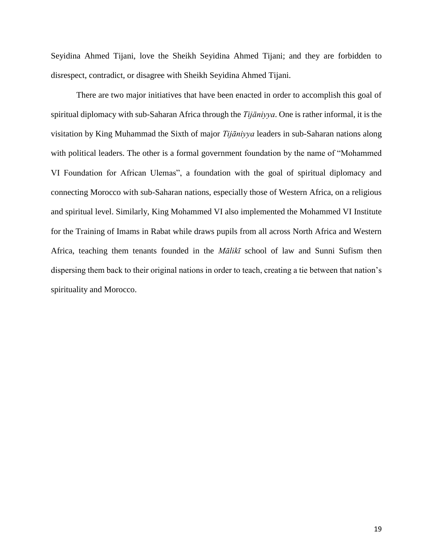Seyidina Ahmed Tijani, love the Sheikh Seyidina Ahmed Tijani; and they are forbidden to disrespect, contradict, or disagree with Sheikh Seyidina Ahmed Tijani.

There are two major initiatives that have been enacted in order to accomplish this goal of spiritual diplomacy with sub-Saharan Africa through the *Tijāniyya*. One is rather informal, it is the visitation by King Muhammad the Sixth of major *Tijāniyya* leaders in sub-Saharan nations along with political leaders. The other is a formal government foundation by the name of "Mohammed VI Foundation for African Ulemas", a foundation with the goal of spiritual diplomacy and connecting Morocco with sub-Saharan nations, especially those of Western Africa, on a religious and spiritual level. Similarly, King Mohammed VI also implemented the Mohammed VI Institute for the Training of Imams in Rabat while draws pupils from all across North Africa and Western Africa, teaching them tenants founded in the *Mālikī* school of law and Sunni Sufism then dispersing them back to their original nations in order to teach, creating a tie between that nation's spirituality and Morocco.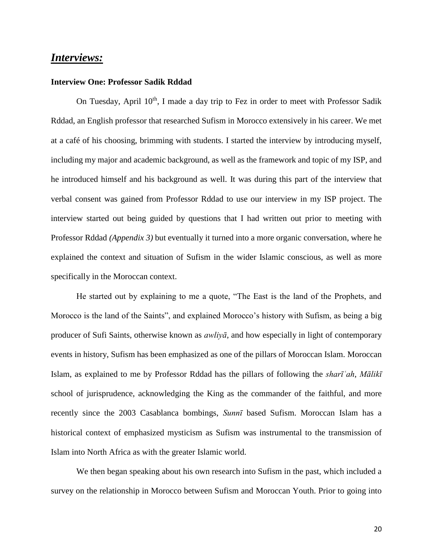### *Interviews:*

#### **Interview One: Professor Sadik Rddad**

On Tuesday, April  $10^{th}$ , I made a day trip to Fez in order to meet with Professor Sadik Rddad, an English professor that researched Sufism in Morocco extensively in his career. We met at a café of his choosing, brimming with students. I started the interview by introducing myself, including my major and academic background, as well as the framework and topic of my ISP, and he introduced himself and his background as well. It was during this part of the interview that verbal consent was gained from Professor Rddad to use our interview in my ISP project. The interview started out being guided by questions that I had written out prior to meeting with Professor Rddad *(Appendix 3)* but eventually it turned into a more organic conversation, where he explained the context and situation of Sufism in the wider Islamic conscious, as well as more specifically in the Moroccan context.

He started out by explaining to me a quote, "The East is the land of the Prophets, and Morocco is the land of the Saints", and explained Morocco's history with Sufism, as being a big producer of Sufi Saints, otherwise known as *awliyā*, and how especially in light of contemporary events in history, Sufism has been emphasized as one of the pillars of Moroccan Islam. Moroccan Islam, as explained to me by Professor Rddad has the pillars of following the *sharīʿah*, *Mālikī* school of jurisprudence, acknowledging the King as the commander of the faithful, and more recently since the 2003 Casablanca bombings, *Sunnī* based Sufism. Moroccan Islam has a historical context of emphasized mysticism as Sufism was instrumental to the transmission of Islam into North Africa as with the greater Islamic world.

We then began speaking about his own research into Sufism in the past, which included a survey on the relationship in Morocco between Sufism and Moroccan Youth. Prior to going into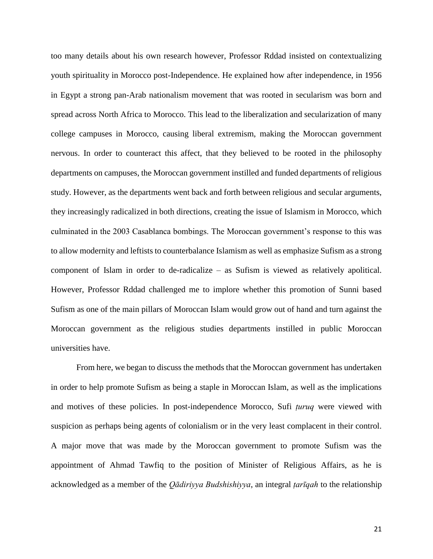too many details about his own research however, Professor Rddad insisted on contextualizing youth spirituality in Morocco post-Independence. He explained how after independence, in 1956 in Egypt a strong pan-Arab nationalism movement that was rooted in secularism was born and spread across North Africa to Morocco. This lead to the liberalization and secularization of many college campuses in Morocco, causing liberal extremism, making the Moroccan government nervous. In order to counteract this affect, that they believed to be rooted in the philosophy departments on campuses, the Moroccan government instilled and funded departments of religious study. However, as the departments went back and forth between religious and secular arguments, they increasingly radicalized in both directions, creating the issue of Islamism in Morocco, which culminated in the 2003 Casablanca bombings. The Moroccan government's response to this was to allow modernity and leftists to counterbalance Islamism as well as emphasize Sufism as a strong component of Islam in order to de-radicalize – as Sufism is viewed as relatively apolitical. However, Professor Rddad challenged me to implore whether this promotion of Sunni based Sufism as one of the main pillars of Moroccan Islam would grow out of hand and turn against the Moroccan government as the religious studies departments instilled in public Moroccan universities have.

From here, we began to discuss the methods that the Moroccan government has undertaken in order to help promote Sufism as being a staple in Moroccan Islam, as well as the implications and motives of these policies. In post-independence Morocco, Sufi *ṭuruq* were viewed with suspicion as perhaps being agents of colonialism or in the very least complacent in their control. A major move that was made by the Moroccan government to promote Sufism was the appointment of Ahmad Tawfiq to the position of Minister of Religious Affairs, as he is acknowledged as a member of the *Qādiriyya Budshishiyya*, an integral *ṭarīqah* to the relationship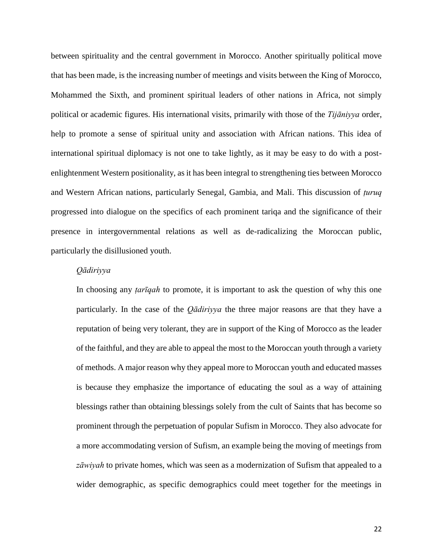between spirituality and the central government in Morocco. Another spiritually political move that has been made, is the increasing number of meetings and visits between the King of Morocco, Mohammed the Sixth, and prominent spiritual leaders of other nations in Africa, not simply political or academic figures. His international visits, primarily with those of the *Tijāniyya* order, help to promote a sense of spiritual unity and association with African nations. This idea of international spiritual diplomacy is not one to take lightly, as it may be easy to do with a postenlightenment Western positionality, as it has been integral to strengthening ties between Morocco and Western African nations, particularly Senegal, Gambia, and Mali. This discussion of *ṭuruq* progressed into dialogue on the specifics of each prominent tariqa and the significance of their presence in intergovernmental relations as well as de-radicalizing the Moroccan public, particularly the disillusioned youth.

#### *Qādiriyya*

In choosing any *ṭarīqah* to promote, it is important to ask the question of why this one particularly. In the case of the *Qādiriyya* the three major reasons are that they have a reputation of being very tolerant, they are in support of the King of Morocco as the leader of the faithful, and they are able to appeal the most to the Moroccan youth through a variety of methods. A major reason why they appeal more to Moroccan youth and educated masses is because they emphasize the importance of educating the soul as a way of attaining blessings rather than obtaining blessings solely from the cult of Saints that has become so prominent through the perpetuation of popular Sufism in Morocco. They also advocate for a more accommodating version of Sufism, an example being the moving of meetings from *zāwiyah* to private homes, which was seen as a modernization of Sufism that appealed to a wider demographic, as specific demographics could meet together for the meetings in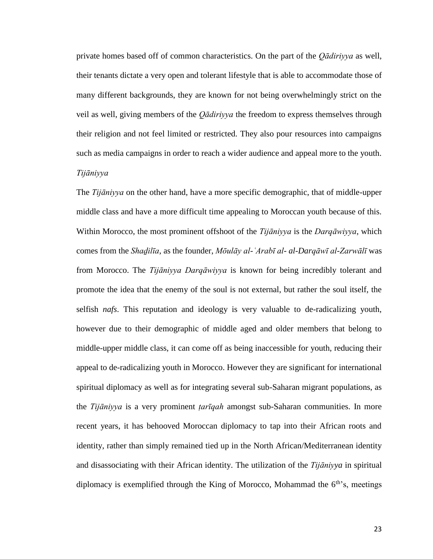private homes based off of common characteristics. On the part of the *Qādiriyya* as well, their tenants dictate a very open and tolerant lifestyle that is able to accommodate those of many different backgrounds, they are known for not being overwhelmingly strict on the veil as well, giving members of the *Qādiriyya* the freedom to express themselves through their religion and not feel limited or restricted. They also pour resources into campaigns such as media campaigns in order to reach a wider audience and appeal more to the youth. *Tijāniyya*

The *Tijāniyya* on the other hand, have a more specific demographic, that of middle-upper middle class and have a more difficult time appealing to Moroccan youth because of this. Within Morocco, the most prominent offshoot of the *Tijāniyya* is the *Darqāwiyya*, which comes from the *Shaḏilīa*, as the founder, *Mōulāy al-ʿArabī al- al-Darqāwī al-Zarwālī* was from Morocco. The *Tijāniyya Darqāwiyya* is known for being incredibly tolerant and promote the idea that the enemy of the soul is not external, but rather the soul itself, the selfish *nafs*. This reputation and ideology is very valuable to de-radicalizing youth, however due to their demographic of middle aged and older members that belong to middle-upper middle class, it can come off as being inaccessible for youth, reducing their appeal to de-radicalizing youth in Morocco. However they are significant for international spiritual diplomacy as well as for integrating several sub-Saharan migrant populations, as the *Tijāniyya* is a very prominent *ṭarīqah* amongst sub-Saharan communities. In more recent years, it has behooved Moroccan diplomacy to tap into their African roots and identity, rather than simply remained tied up in the North African/Mediterranean identity and disassociating with their African identity. The utilization of the *Tijāniyya* in spiritual diplomacy is exemplified through the King of Morocco, Mohammad the  $6<sup>th</sup>$ 's, meetings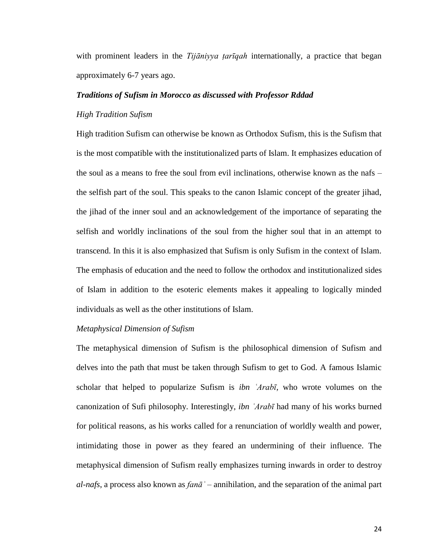with prominent leaders in the *Tijāniyya ṭarīqah* internationally, a practice that began approximately 6-7 years ago.

#### *Traditions of Sufism in Morocco as discussed with Professor Rddad*

#### *High Tradition Sufism*

High tradition Sufism can otherwise be known as Orthodox Sufism, this is the Sufism that is the most compatible with the institutionalized parts of Islam. It emphasizes education of the soul as a means to free the soul from evil inclinations, otherwise known as the nafs – the selfish part of the soul. This speaks to the canon Islamic concept of the greater jihad, the jihad of the inner soul and an acknowledgement of the importance of separating the selfish and worldly inclinations of the soul from the higher soul that in an attempt to transcend. In this it is also emphasized that Sufism is only Sufism in the context of Islam. The emphasis of education and the need to follow the orthodox and institutionalized sides of Islam in addition to the esoteric elements makes it appealing to logically minded individuals as well as the other institutions of Islam.

#### *Metaphysical Dimension of Sufism*

The metaphysical dimension of Sufism is the philosophical dimension of Sufism and delves into the path that must be taken through Sufism to get to God. A famous Islamic scholar that helped to popularize Sufism is *ibn ʿArabī,* who wrote volumes on the canonization of Sufi philosophy. Interestingly, *ibn ʿArabī* had many of his works burned for political reasons, as his works called for a renunciation of worldly wealth and power, intimidating those in power as they feared an undermining of their influence. The metaphysical dimension of Sufism really emphasizes turning inwards in order to destroy *al-nafs*, a process also known as *fanāʾ* – annihilation, and the separation of the animal part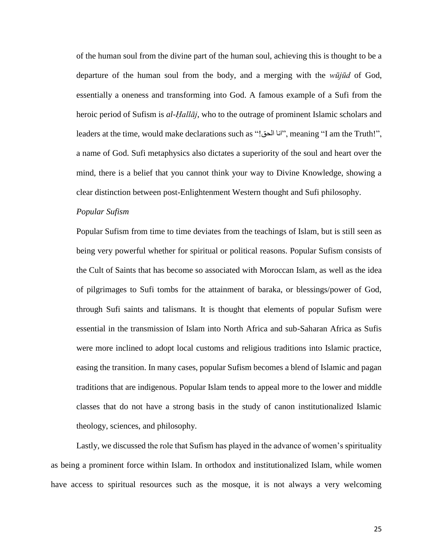of the human soul from the divine part of the human soul, achieving this is thought to be a departure of the human soul from the body, and a merging with the *wūjūd* of God, essentially a oneness and transforming into God. A famous example of a Sufi from the heroic period of Sufism is *al-Ḥallāj*, who to the outrage of prominent Islamic scholars and leaders at the time, would make declarations such as "!الحق انا", meaning "I am the Truth!", a name of God. Sufi metaphysics also dictates a superiority of the soul and heart over the mind, there is a belief that you cannot think your way to Divine Knowledge, showing a clear distinction between post-Enlightenment Western thought and Sufi philosophy.

#### *Popular Sufism*

Popular Sufism from time to time deviates from the teachings of Islam, but is still seen as being very powerful whether for spiritual or political reasons. Popular Sufism consists of the Cult of Saints that has become so associated with Moroccan Islam, as well as the idea of pilgrimages to Sufi tombs for the attainment of baraka, or blessings/power of God, through Sufi saints and talismans. It is thought that elements of popular Sufism were essential in the transmission of Islam into North Africa and sub-Saharan Africa as Sufis were more inclined to adopt local customs and religious traditions into Islamic practice, easing the transition. In many cases, popular Sufism becomes a blend of Islamic and pagan traditions that are indigenous. Popular Islam tends to appeal more to the lower and middle classes that do not have a strong basis in the study of canon institutionalized Islamic theology, sciences, and philosophy.

Lastly, we discussed the role that Sufism has played in the advance of women's spirituality as being a prominent force within Islam. In orthodox and institutionalized Islam, while women have access to spiritual resources such as the mosque, it is not always a very welcoming

25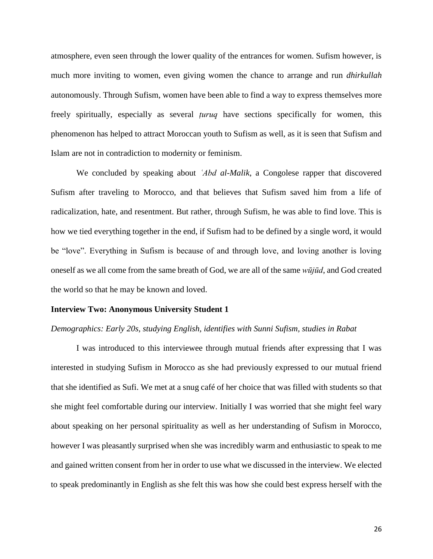atmosphere, even seen through the lower quality of the entrances for women. Sufism however, is much more inviting to women, even giving women the chance to arrange and run *dhirkullah* autonomously. Through Sufism, women have been able to find a way to express themselves more freely spiritually, especially as several *ṭuruq* have sections specifically for women, this phenomenon has helped to attract Moroccan youth to Sufism as well, as it is seen that Sufism and Islam are not in contradiction to modernity or feminism.

We concluded by speaking about *ʿAbd al-Malik*, a Congolese rapper that discovered Sufism after traveling to Morocco, and that believes that Sufism saved him from a life of radicalization, hate, and resentment. But rather, through Sufism, he was able to find love. This is how we tied everything together in the end, if Sufism had to be defined by a single word, it would be "love". Everything in Sufism is because of and through love, and loving another is loving oneself as we all come from the same breath of God, we are all of the same *wūjūd*, and God created the world so that he may be known and loved.

#### **Interview Two: Anonymous University Student 1**

#### *Demographics: Early 20s, studying English, identifies with Sunni Sufism, studies in Rabat*

I was introduced to this interviewee through mutual friends after expressing that I was interested in studying Sufism in Morocco as she had previously expressed to our mutual friend that she identified as Sufi. We met at a snug café of her choice that was filled with students so that she might feel comfortable during our interview. Initially I was worried that she might feel wary about speaking on her personal spirituality as well as her understanding of Sufism in Morocco, however I was pleasantly surprised when she was incredibly warm and enthusiastic to speak to me and gained written consent from her in order to use what we discussed in the interview. We elected to speak predominantly in English as she felt this was how she could best express herself with the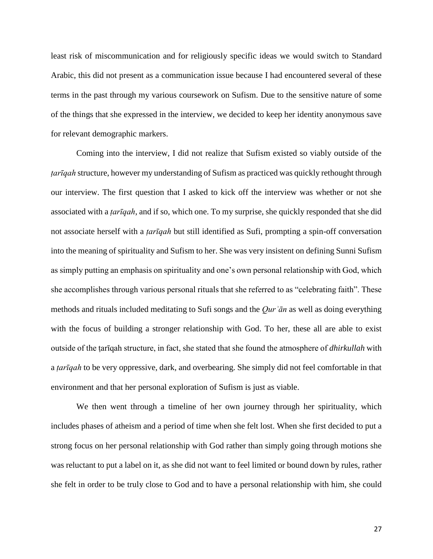least risk of miscommunication and for religiously specific ideas we would switch to Standard Arabic, this did not present as a communication issue because I had encountered several of these terms in the past through my various coursework on Sufism. Due to the sensitive nature of some of the things that she expressed in the interview, we decided to keep her identity anonymous save for relevant demographic markers.

Coming into the interview, I did not realize that Sufism existed so viably outside of the *ṭarīqah* structure, however my understanding of Sufism as practiced was quickly rethought through our interview. The first question that I asked to kick off the interview was whether or not she associated with a *ṭarīqah*, and if so, which one. To my surprise, she quickly responded that she did not associate herself with a *ṭarīqah* but still identified as Sufi, prompting a spin-off conversation into the meaning of spirituality and Sufism to her. She was very insistent on defining Sunni Sufism as simply putting an emphasis on spirituality and one's own personal relationship with God, which she accomplishes through various personal rituals that she referred to as "celebrating faith". These methods and rituals included meditating to Sufi songs and the *Qurʾān* as well as doing everything with the focus of building a stronger relationship with God. To her, these all are able to exist outside of the ṭarīqah structure, in fact, she stated that she found the atmosphere of *dhirkullah* with a *ṭarīqah* to be very oppressive, dark, and overbearing. She simply did not feel comfortable in that environment and that her personal exploration of Sufism is just as viable.

We then went through a timeline of her own journey through her spirituality, which includes phases of atheism and a period of time when she felt lost. When she first decided to put a strong focus on her personal relationship with God rather than simply going through motions she was reluctant to put a label on it, as she did not want to feel limited or bound down by rules, rather she felt in order to be truly close to God and to have a personal relationship with him, she could

27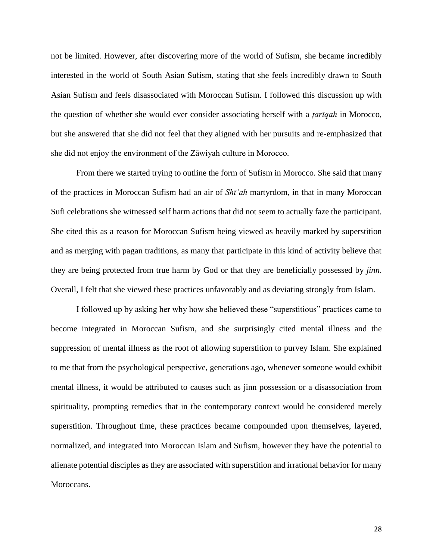not be limited. However, after discovering more of the world of Sufism, she became incredibly interested in the world of South Asian Sufism, stating that she feels incredibly drawn to South Asian Sufism and feels disassociated with Moroccan Sufism. I followed this discussion up with the question of whether she would ever consider associating herself with a *ṭarīqah* in Morocco, but she answered that she did not feel that they aligned with her pursuits and re-emphasized that she did not enjoy the environment of the Zāwiyah culture in Morocco.

From there we started trying to outline the form of Sufism in Morocco. She said that many of the practices in Moroccan Sufism had an air of *Shīʿah* martyrdom, in that in many Moroccan Sufi celebrations she witnessed self harm actions that did not seem to actually faze the participant. She cited this as a reason for Moroccan Sufism being viewed as heavily marked by superstition and as merging with pagan traditions, as many that participate in this kind of activity believe that they are being protected from true harm by God or that they are beneficially possessed by *jinn*. Overall, I felt that she viewed these practices unfavorably and as deviating strongly from Islam.

I followed up by asking her why how she believed these "superstitious" practices came to become integrated in Moroccan Sufism, and she surprisingly cited mental illness and the suppression of mental illness as the root of allowing superstition to purvey Islam. She explained to me that from the psychological perspective, generations ago, whenever someone would exhibit mental illness, it would be attributed to causes such as jinn possession or a disassociation from spirituality, prompting remedies that in the contemporary context would be considered merely superstition. Throughout time, these practices became compounded upon themselves, layered, normalized, and integrated into Moroccan Islam and Sufism, however they have the potential to alienate potential disciples as they are associated with superstition and irrational behavior for many Moroccans.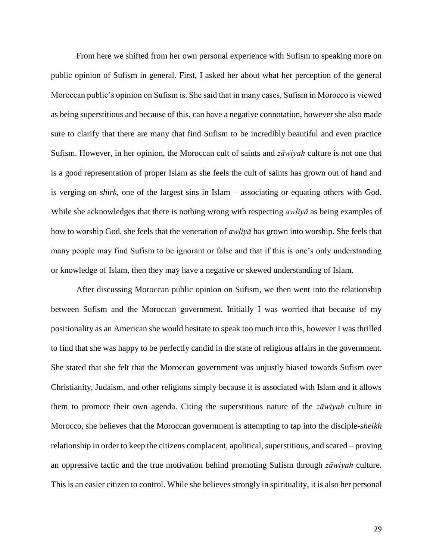From here we shifted from her own personal experience with Sufism to speaking more on public opinion of Sufism in general. First, I asked her about what her perception of the general Moroccan public's opinion on Sufism is. She said that in many cases, Sufism in Morocco is viewed as being superstitious and because of this, can have a negative connotation, however she also made sure to clarify that there are many that find Sufism to be incredibly beautiful and even practice Sufism. However, in her opinion, the Moroccan cult of saints and *zāwiyah* culture is not one that is a good representation of proper Islam as she feels the cult of saints has grown out of hand and is verging on *shirk*, one of the largest sins in Islam – associating or equating others with God. While she acknowledges that there is nothing wrong with respecting *awliyā* as being examples of how to worship God, she feels that the veneration of *awliyā* has grown into worship. She feels that many people may find Sufism to be ignorant or false and that if this is one's only understanding or knowledge of Islam, then they may have a negative or skewed understanding of Islam.

After discussing Moroccan public opinion on Sufism, we then went into the relationship between Sufism and the Moroccan government. Initially I was worried that because of my positionality as an American she would hesitate to speak too much into this, however I was thrilled to find that she was happy to be perfectly candid in the state of religious affairs in the government. She stated that she felt that the Moroccan government was unjustly biased towards Sufism over Christianity, Judaism, and other religions simply because it is associated with Islam and it allows them to promote their own agenda. Citing the superstitious nature of the *zāwiyah* culture in Morocco, she believes that the Moroccan government is attempting to tap into the disciple-*sheikh* relationship in order to keep the citizens complacent, apolitical, superstitious, and scared – proving an oppressive tactic and the true motivation behind promoting Sufism through *zāwiyah* culture. This is an easier citizen to control. While she believes strongly in spirituality, it is also her personal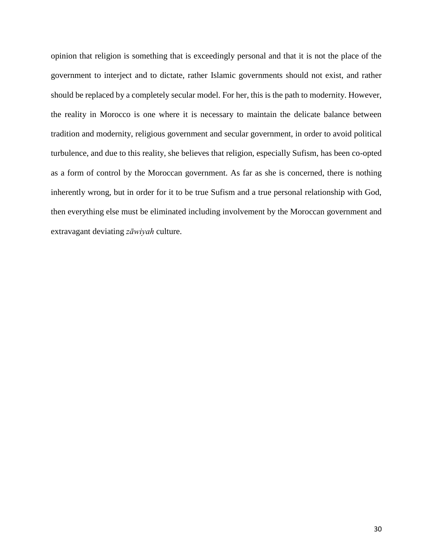opinion that religion is something that is exceedingly personal and that it is not the place of the government to interject and to dictate, rather Islamic governments should not exist, and rather should be replaced by a completely secular model. For her, this is the path to modernity. However, the reality in Morocco is one where it is necessary to maintain the delicate balance between tradition and modernity, religious government and secular government, in order to avoid political turbulence, and due to this reality, she believes that religion, especially Sufism, has been co-opted as a form of control by the Moroccan government. As far as she is concerned, there is nothing inherently wrong, but in order for it to be true Sufism and a true personal relationship with God, then everything else must be eliminated including involvement by the Moroccan government and extravagant deviating *zāwiyah* culture.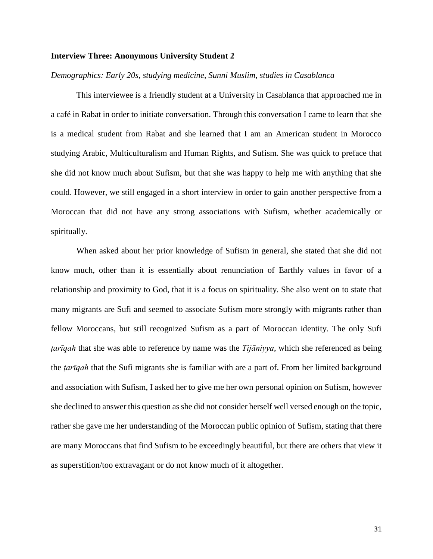#### **Interview Three: Anonymous University Student 2**

#### *Demographics: Early 20s, studying medicine, Sunni Muslim, studies in Casablanca*

This interviewee is a friendly student at a University in Casablanca that approached me in a café in Rabat in order to initiate conversation. Through this conversation I came to learn that she is a medical student from Rabat and she learned that I am an American student in Morocco studying Arabic, Multiculturalism and Human Rights, and Sufism. She was quick to preface that she did not know much about Sufism, but that she was happy to help me with anything that she could. However, we still engaged in a short interview in order to gain another perspective from a Moroccan that did not have any strong associations with Sufism, whether academically or spiritually.

When asked about her prior knowledge of Sufism in general, she stated that she did not know much, other than it is essentially about renunciation of Earthly values in favor of a relationship and proximity to God, that it is a focus on spirituality. She also went on to state that many migrants are Sufi and seemed to associate Sufism more strongly with migrants rather than fellow Moroccans, but still recognized Sufism as a part of Moroccan identity. The only Sufi *ṭarīqah* that she was able to reference by name was the *Tijāniyya*, which she referenced as being the *ṭarīqah* that the Sufi migrants she is familiar with are a part of. From her limited background and association with Sufism, I asked her to give me her own personal opinion on Sufism, however she declined to answer this question as she did not consider herself well versed enough on the topic, rather she gave me her understanding of the Moroccan public opinion of Sufism, stating that there are many Moroccans that find Sufism to be exceedingly beautiful, but there are others that view it as superstition/too extravagant or do not know much of it altogether.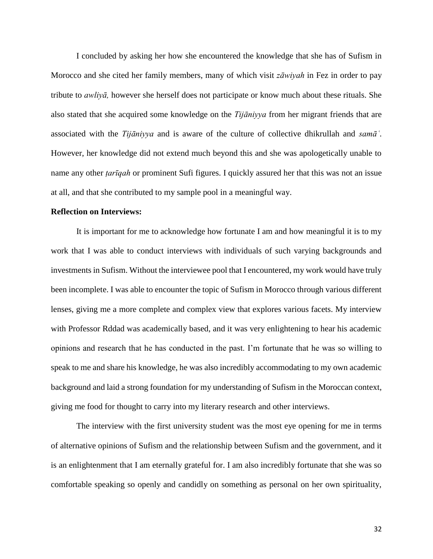I concluded by asking her how she encountered the knowledge that she has of Sufism in Morocco and she cited her family members, many of which visit *zāwiyah* in Fez in order to pay tribute to *awliyā,* however she herself does not participate or know much about these rituals. She also stated that she acquired some knowledge on the *Tijāniyya* from her migrant friends that are associated with the *Tijāniyya* and is aware of the culture of collective dhikrullah and *samāʿ*. However, her knowledge did not extend much beyond this and she was apologetically unable to name any other *ṭarīqah* or prominent Sufi figures. I quickly assured her that this was not an issue at all, and that she contributed to my sample pool in a meaningful way.

#### **Reflection on Interviews:**

It is important for me to acknowledge how fortunate I am and how meaningful it is to my work that I was able to conduct interviews with individuals of such varying backgrounds and investments in Sufism. Without the interviewee pool that I encountered, my work would have truly been incomplete. I was able to encounter the topic of Sufism in Morocco through various different lenses, giving me a more complete and complex view that explores various facets. My interview with Professor Rddad was academically based, and it was very enlightening to hear his academic opinions and research that he has conducted in the past. I'm fortunate that he was so willing to speak to me and share his knowledge, he was also incredibly accommodating to my own academic background and laid a strong foundation for my understanding of Sufism in the Moroccan context, giving me food for thought to carry into my literary research and other interviews.

The interview with the first university student was the most eye opening for me in terms of alternative opinions of Sufism and the relationship between Sufism and the government, and it is an enlightenment that I am eternally grateful for. I am also incredibly fortunate that she was so comfortable speaking so openly and candidly on something as personal on her own spirituality,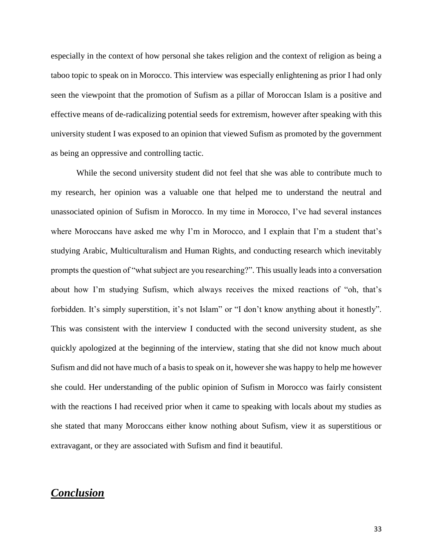especially in the context of how personal she takes religion and the context of religion as being a taboo topic to speak on in Morocco. This interview was especially enlightening as prior I had only seen the viewpoint that the promotion of Sufism as a pillar of Moroccan Islam is a positive and effective means of de-radicalizing potential seeds for extremism, however after speaking with this university student I was exposed to an opinion that viewed Sufism as promoted by the government as being an oppressive and controlling tactic.

While the second university student did not feel that she was able to contribute much to my research, her opinion was a valuable one that helped me to understand the neutral and unassociated opinion of Sufism in Morocco. In my time in Morocco, I've had several instances where Moroccans have asked me why I'm in Morocco, and I explain that I'm a student that's studying Arabic, Multiculturalism and Human Rights, and conducting research which inevitably prompts the question of "what subject are you researching?". This usually leads into a conversation about how I'm studying Sufism, which always receives the mixed reactions of "oh, that's forbidden. It's simply superstition, it's not Islam" or "I don't know anything about it honestly". This was consistent with the interview I conducted with the second university student, as she quickly apologized at the beginning of the interview, stating that she did not know much about Sufism and did not have much of a basis to speak on it, however she was happy to help me however she could. Her understanding of the public opinion of Sufism in Morocco was fairly consistent with the reactions I had received prior when it came to speaking with locals about my studies as she stated that many Moroccans either know nothing about Sufism, view it as superstitious or extravagant, or they are associated with Sufism and find it beautiful.

### *Conclusion*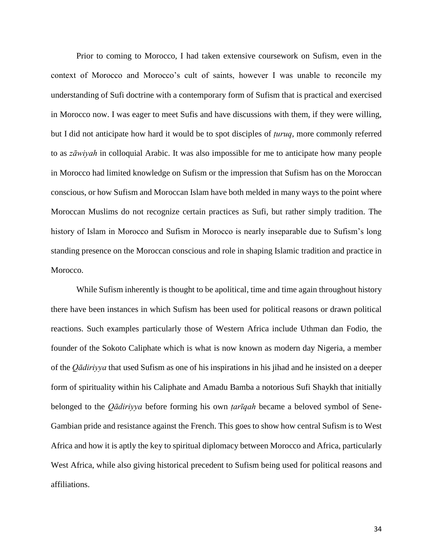Prior to coming to Morocco, I had taken extensive coursework on Sufism, even in the context of Morocco and Morocco's cult of saints, however I was unable to reconcile my understanding of Sufi doctrine with a contemporary form of Sufism that is practical and exercised in Morocco now. I was eager to meet Sufis and have discussions with them, if they were willing, but I did not anticipate how hard it would be to spot disciples of *ṭuruq*, more commonly referred to as *zāwiyah* in colloquial Arabic. It was also impossible for me to anticipate how many people in Morocco had limited knowledge on Sufism or the impression that Sufism has on the Moroccan conscious, or how Sufism and Moroccan Islam have both melded in many ways to the point where Moroccan Muslims do not recognize certain practices as Sufi, but rather simply tradition. The history of Islam in Morocco and Sufism in Morocco is nearly inseparable due to Sufism's long standing presence on the Moroccan conscious and role in shaping Islamic tradition and practice in Morocco.

While Sufism inherently is thought to be apolitical, time and time again throughout history there have been instances in which Sufism has been used for political reasons or drawn political reactions. Such examples particularly those of Western Africa include Uthman dan Fodio, the founder of the Sokoto Caliphate which is what is now known as modern day Nigeria, a member of the *Qādiriyya* that used Sufism as one of his inspirations in his jihad and he insisted on a deeper form of spirituality within his Caliphate and Amadu Bamba a notorious Sufi Shaykh that initially belonged to the *Qādiriyya* before forming his own *ṭarīqah* became a beloved symbol of Sene-Gambian pride and resistance against the French. This goes to show how central Sufism is to West Africa and how it is aptly the key to spiritual diplomacy between Morocco and Africa, particularly West Africa, while also giving historical precedent to Sufism being used for political reasons and affiliations.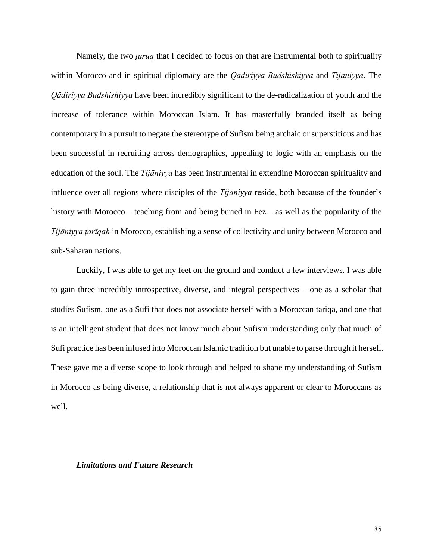Namely, the two *ṭuruq* that I decided to focus on that are instrumental both to spirituality within Morocco and in spiritual diplomacy are the *Qādiriyya Budshishiyya* and *Tijāniyya*. The *Qādiriyya Budshishiyya* have been incredibly significant to the de-radicalization of youth and the increase of tolerance within Moroccan Islam. It has masterfully branded itself as being contemporary in a pursuit to negate the stereotype of Sufism being archaic or superstitious and has been successful in recruiting across demographics, appealing to logic with an emphasis on the education of the soul. The *Tijāniyya* has been instrumental in extending Moroccan spirituality and influence over all regions where disciples of the *Tijāniyya* reside, both because of the founder's history with Morocco – teaching from and being buried in Fez – as well as the popularity of the *Tijāniyya ṭarīqah* in Morocco, establishing a sense of collectivity and unity between Morocco and sub-Saharan nations.

Luckily, I was able to get my feet on the ground and conduct a few interviews. I was able to gain three incredibly introspective, diverse, and integral perspectives – one as a scholar that studies Sufism, one as a Sufi that does not associate herself with a Moroccan tariqa, and one that is an intelligent student that does not know much about Sufism understanding only that much of Sufi practice has been infused into Moroccan Islamic tradition but unable to parse through it herself. These gave me a diverse scope to look through and helped to shape my understanding of Sufism in Morocco as being diverse, a relationship that is not always apparent or clear to Moroccans as well.

#### *Limitations and Future Research*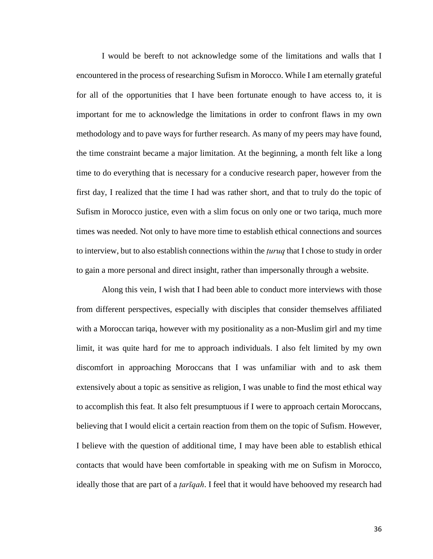I would be bereft to not acknowledge some of the limitations and walls that I encountered in the process of researching Sufism in Morocco. While I am eternally grateful for all of the opportunities that I have been fortunate enough to have access to, it is important for me to acknowledge the limitations in order to confront flaws in my own methodology and to pave ways for further research. As many of my peers may have found, the time constraint became a major limitation. At the beginning, a month felt like a long time to do everything that is necessary for a conducive research paper, however from the first day, I realized that the time I had was rather short, and that to truly do the topic of Sufism in Morocco justice, even with a slim focus on only one or two tariqa, much more times was needed. Not only to have more time to establish ethical connections and sources to interview, but to also establish connections within the *ṭuruq* that I chose to study in order to gain a more personal and direct insight, rather than impersonally through a website.

Along this vein, I wish that I had been able to conduct more interviews with those from different perspectives, especially with disciples that consider themselves affiliated with a Moroccan tariqa, however with my positionality as a non-Muslim girl and my time limit, it was quite hard for me to approach individuals. I also felt limited by my own discomfort in approaching Moroccans that I was unfamiliar with and to ask them extensively about a topic as sensitive as religion, I was unable to find the most ethical way to accomplish this feat. It also felt presumptuous if I were to approach certain Moroccans, believing that I would elicit a certain reaction from them on the topic of Sufism. However, I believe with the question of additional time, I may have been able to establish ethical contacts that would have been comfortable in speaking with me on Sufism in Morocco, ideally those that are part of a *ṭarīqah*. I feel that it would have behooved my research had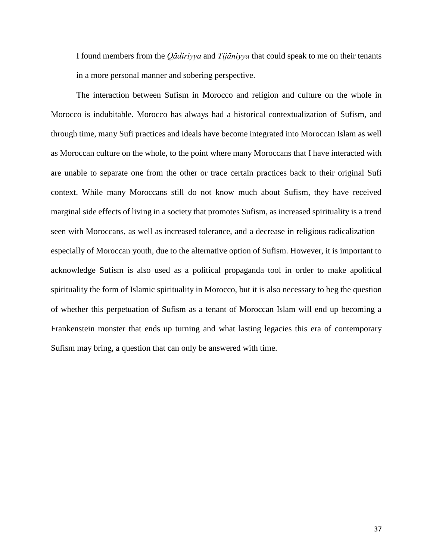I found members from the *Qādiriyya* and *Tijāniyya* that could speak to me on their tenants in a more personal manner and sobering perspective.

The interaction between Sufism in Morocco and religion and culture on the whole in Morocco is indubitable. Morocco has always had a historical contextualization of Sufism, and through time, many Sufi practices and ideals have become integrated into Moroccan Islam as well as Moroccan culture on the whole, to the point where many Moroccans that I have interacted with are unable to separate one from the other or trace certain practices back to their original Sufi context. While many Moroccans still do not know much about Sufism, they have received marginal side effects of living in a society that promotes Sufism, as increased spirituality is a trend seen with Moroccans, as well as increased tolerance, and a decrease in religious radicalization – especially of Moroccan youth, due to the alternative option of Sufism. However, it is important to acknowledge Sufism is also used as a political propaganda tool in order to make apolitical spirituality the form of Islamic spirituality in Morocco, but it is also necessary to beg the question of whether this perpetuation of Sufism as a tenant of Moroccan Islam will end up becoming a Frankenstein monster that ends up turning and what lasting legacies this era of contemporary Sufism may bring, a question that can only be answered with time.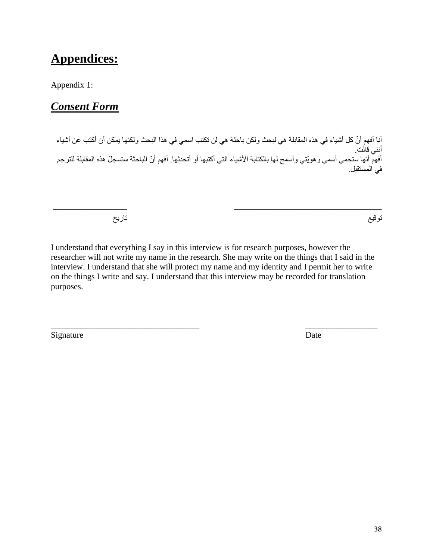# **Appendices:**

Appendix 1:

# *Consent Form*

أنا أفهم أنّ كل أشياء في هذه المقابلة هي لبحث ولكن باحثة هي لن تكتب اسمي في هذا البحث ولكنها يمكن أن أكتب عن أشياء أنني قالت. أفهم أنها ستحمي أسمي وهويّتي وأسمح لها بالكتابة الأشياء التي أكتبها أو أتحدثها. أفهم أنّ الباحثة ستسجلّ هذه المقابلة للترجم في المستقبل.

ــــــــــــــــــــــــــــــــــــــــــــــــــــــــــــــــــــــــــــــــــــ ــــــــــــــــــــــــــــــــــــــــــ

توقيع تاريخ

I understand that everything I say in this interview is for research purposes, however the researcher will not write my name in the research. She may write on the things that I said in the interview. I understand that she will protect my name and my identity and I permit her to write on the things I write and say. I understand that this interview may be recorded for translation purposes.

\_\_\_\_\_\_\_\_\_\_\_\_\_\_\_\_\_\_\_\_\_\_\_\_\_\_\_\_\_\_\_\_\_\_\_ \_\_\_\_\_\_\_\_\_\_\_\_\_\_\_\_\_

Signature Date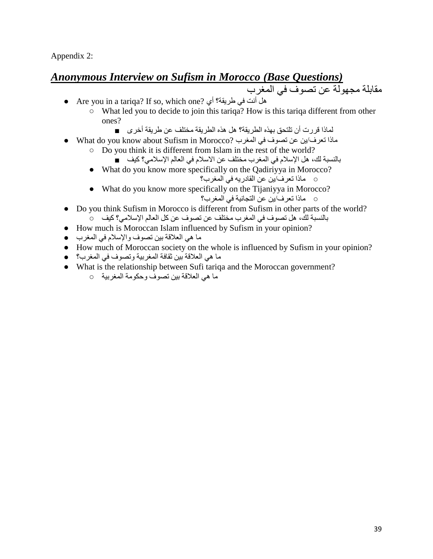Appendix 2:

# *Anonymous Interview on Sufism in Morocco (Base Questions)*

مقابلة مجهولة عن تصوف في المغرب

- Are you in a tariqa? If so, which one? أي طريقة؟ في أنت هل
	- What led you to decide to join this tariqa? How is this tariqa different from other ones?
		- لماذا قررت أن تلتحق بهذه الطريقة؟ هل هذه الطريقة مختلف عن طريقة أخرى ■
- What do you know about Sufism in Morocco? المغرب في تصوف عن ين/تعرف ماذا
	- Do you think it is different from Islam in the rest of the world?
		- بالنسبة لك، هل اإلسالم في المغرب مختلف عن االسالم في العالم اإلسالمي؟ كيف ■
	- What do you know more specifically on the Qadiriyya in Morocco? ○ ماذا تعرف/ين عن القادريه في المغرب؟
	- What do you know more specifically on the Tijaniyya in Morocco? ○ ماذا تعرف/ين عن التجانية في المغرب؟
- Do you think Sufism in Morocco is different from Sufism in other parts of the world? بالنسبة لك، هل تصوف في المغرب مختلف عن تصوف عن كل العالم اإلسالمي؟ كيف ○
- How much is Moroccan Islam influenced by Sufism in your opinion?
- ما هي العالقة بين تصوف واإلسالم في المغرب ●
- How much of Moroccan society on the whole is influenced by Sufism in your opinion?
- ما هي العالقة بين ثقافة المغربية وتصوف في المغرب؟ ●
- What is the relationship between Sufi tariqa and the Moroccan government?
	- ما هي العالقة بين تصوف وحكومة المغربية ○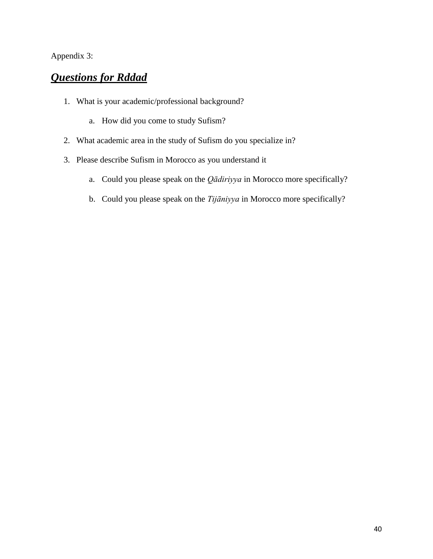### Appendix 3:

# *Questions for Rddad*

- 1. What is your academic/professional background?
	- a. How did you come to study Sufism?
- 2. What academic area in the study of Sufism do you specialize in?
- 3. Please describe Sufism in Morocco as you understand it
	- a. Could you please speak on the *Qādiriyya* in Morocco more specifically?
	- b. Could you please speak on the *Tijāniyya* in Morocco more specifically?